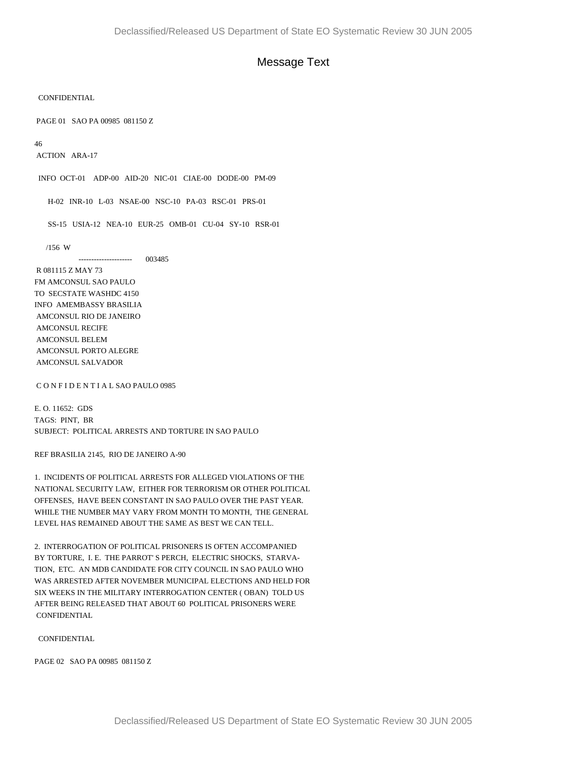## Message Text

CONFIDENTIAL

PAGE 01 SAO PA 00985 081150 Z

46

ACTION ARA-17

INFO OCT-01 ADP-00 AID-20 NIC-01 CIAE-00 DODE-00 PM-09

H-02 INR-10 L-03 NSAE-00 NSC-10 PA-03 RSC-01 PRS-01

SS-15 USIA-12 NEA-10 EUR-25 OMB-01 CU-04 SY-10 RSR-01

/156 W

--------------------- 003485

 R 081115 Z MAY 73 FM AMCONSUL SAO PAULO TO SECSTATE WASHDC 4150 INFO AMEMBASSY BRASILIA AMCONSUL RIO DE JANEIRO AMCONSUL RECIFE AMCONSUL BELEM AMCONSUL PORTO ALEGRE AMCONSUL SALVADOR

C O N F I D E N T I A L SAO PAULO 0985

E. O. 11652: GDS TAGS: PINT, BR SUBJECT: POLITICAL ARRESTS AND TORTURE IN SAO PAULO

REF BRASILIA 2145, RIO DE JANEIRO A-90

1. INCIDENTS OF POLITICAL ARRESTS FOR ALLEGED VIOLATIONS OF THE NATIONAL SECURITY LAW, EITHER FOR TERRORISM OR OTHER POLITICAL OFFENSES, HAVE BEEN CONSTANT IN SAO PAULO OVER THE PAST YEAR. WHILE THE NUMBER MAY VARY FROM MONTH TO MONTH, THE GENERAL LEVEL HAS REMAINED ABOUT THE SAME AS BEST WE CAN TELL.

2. INTERROGATION OF POLITICAL PRISONERS IS OFTEN ACCOMPANIED BY TORTURE, I. E. THE PARROT' S PERCH, ELECTRIC SHOCKS, STARVA-TION, ETC. AN MDB CANDIDATE FOR CITY COUNCIL IN SAO PAULO WHO WAS ARRESTED AFTER NOVEMBER MUNICIPAL ELECTIONS AND HELD FOR SIX WEEKS IN THE MILITARY INTERROGATION CENTER ( OBAN) TOLD US AFTER BEING RELEASED THAT ABOUT 60 POLITICAL PRISONERS WERE **CONFIDENTIAL** 

**CONFIDENTIAL** 

PAGE 02 SAO PA 00985 081150 Z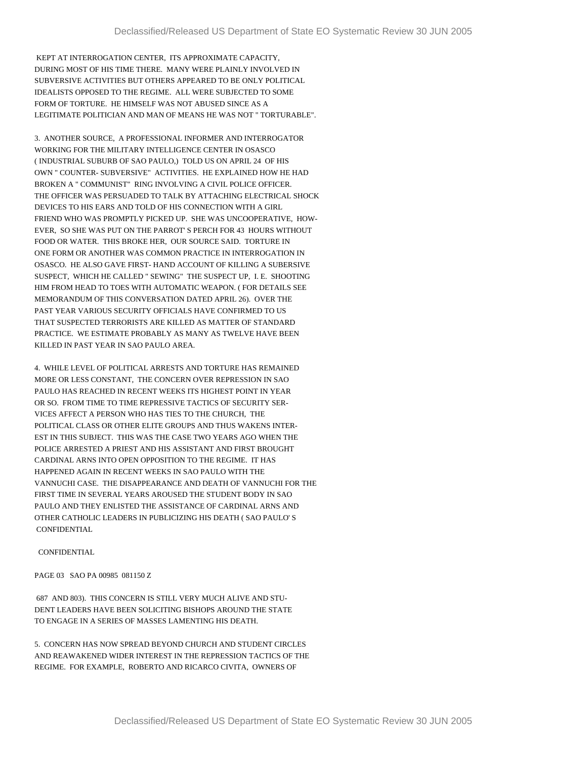KEPT AT INTERROGATION CENTER, ITS APPROXIMATE CAPACITY, DURING MOST OF HIS TIME THERE. MANY WERE PLAINLY INVOLVED IN SUBVERSIVE ACTIVITIES BUT OTHERS APPEARED TO BE ONLY POLITICAL IDEALISTS OPPOSED TO THE REGIME. ALL WERE SUBJECTED TO SOME FORM OF TORTURE. HE HIMSELF WAS NOT ABUSED SINCE AS A LEGITIMATE POLITICIAN AND MAN OF MEANS HE WAS NOT " TORTURABLE".

3. ANOTHER SOURCE, A PROFESSIONAL INFORMER AND INTERROGATOR WORKING FOR THE MILITARY INTELLIGENCE CENTER IN OSASCO ( INDUSTRIAL SUBURB OF SAO PAULO,) TOLD US ON APRIL 24 OF HIS OWN " COUNTER- SUBVERSIVE" ACTIVITIES. HE EXPLAINED HOW HE HAD BROKEN A " COMMUNIST" RING INVOLVING A CIVIL POLICE OFFICER. THE OFFICER WAS PERSUADED TO TALK BY ATTACHING ELECTRICAL SHOCK DEVICES TO HIS EARS AND TOLD OF HIS CONNECTION WITH A GIRL FRIEND WHO WAS PROMPTLY PICKED UP. SHE WAS UNCOOPERATIVE, HOW-EVER, SO SHE WAS PUT ON THE PARROT' S PERCH FOR 43 HOURS WITHOUT FOOD OR WATER. THIS BROKE HER, OUR SOURCE SAID. TORTURE IN ONE FORM OR ANOTHER WAS COMMON PRACTICE IN INTERROGATION IN OSASCO. HE ALSO GAVE FIRST- HAND ACCOUNT OF KILLING A SUBERSIVE SUSPECT, WHICH HE CALLED " SEWING" THE SUSPECT UP, I. E. SHOOTING HIM FROM HEAD TO TOES WITH AUTOMATIC WEAPON. ( FOR DETAILS SEE MEMORANDUM OF THIS CONVERSATION DATED APRIL 26). OVER THE PAST YEAR VARIOUS SECURITY OFFICIALS HAVE CONFIRMED TO US THAT SUSPECTED TERRORISTS ARE KILLED AS MATTER OF STANDARD PRACTICE. WE ESTIMATE PROBABLY AS MANY AS TWELVE HAVE BEEN KILLED IN PAST YEAR IN SAO PAULO AREA.

4. WHILE LEVEL OF POLITICAL ARRESTS AND TORTURE HAS REMAINED MORE OR LESS CONSTANT, THE CONCERN OVER REPRESSION IN SAO PAULO HAS REACHED IN RECENT WEEKS ITS HIGHEST POINT IN YEAR OR SO. FROM TIME TO TIME REPRESSIVE TACTICS OF SECURITY SER-VICES AFFECT A PERSON WHO HAS TIES TO THE CHURCH, THE POLITICAL CLASS OR OTHER ELITE GROUPS AND THUS WAKENS INTER-EST IN THIS SUBJECT. THIS WAS THE CASE TWO YEARS AGO WHEN THE POLICE ARRESTED A PRIEST AND HIS ASSISTANT AND FIRST BROUGHT CARDINAL ARNS INTO OPEN OPPOSITION TO THE REGIME. IT HAS HAPPENED AGAIN IN RECENT WEEKS IN SAO PAULO WITH THE VANNUCHI CASE. THE DISAPPEARANCE AND DEATH OF VANNUCHI FOR THE FIRST TIME IN SEVERAL YEARS AROUSED THE STUDENT BODY IN SAO PAULO AND THEY ENLISTED THE ASSISTANCE OF CARDINAL ARNS AND OTHER CATHOLIC LEADERS IN PUBLICIZING HIS DEATH ( SAO PAULO' S **CONFIDENTIAL** 

## **CONFIDENTIAL**

PAGE 03 SAO PA 00985 081150 Z

 687 AND 803). THIS CONCERN IS STILL VERY MUCH ALIVE AND STU-DENT LEADERS HAVE BEEN SOLICITING BISHOPS AROUND THE STATE TO ENGAGE IN A SERIES OF MASSES LAMENTING HIS DEATH.

5. CONCERN HAS NOW SPREAD BEYOND CHURCH AND STUDENT CIRCLES AND REAWAKENED WIDER INTEREST IN THE REPRESSION TACTICS OF THE REGIME. FOR EXAMPLE, ROBERTO AND RICARCO CIVITA, OWNERS OF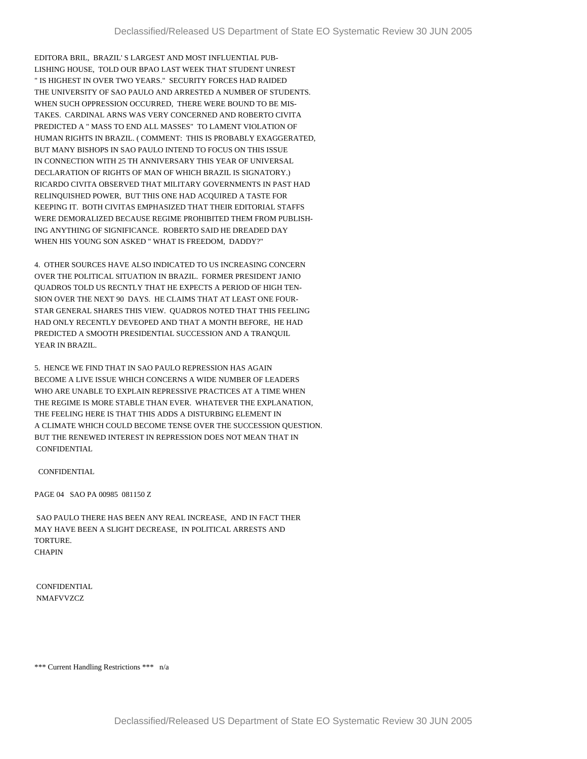EDITORA BRIL, BRAZIL' S LARGEST AND MOST INFLUENTIAL PUB-LISHING HOUSE, TOLD OUR BPAO LAST WEEK THAT STUDENT UNREST " IS HIGHEST IN OVER TWO YEARS." SECURITY FORCES HAD RAIDED THE UNIVERSITY OF SAO PAULO AND ARRESTED A NUMBER OF STUDENTS. WHEN SUCH OPPRESSION OCCURRED, THERE WERE BOUND TO BE MIS-TAKES. CARDINAL ARNS WAS VERY CONCERNED AND ROBERTO CIVITA PREDICTED A " MASS TO END ALL MASSES" TO LAMENT VIOLATION OF HUMAN RIGHTS IN BRAZIL. ( COMMENT: THIS IS PROBABLY EXAGGERATED, BUT MANY BISHOPS IN SAO PAULO INTEND TO FOCUS ON THIS ISSUE IN CONNECTION WITH 25 TH ANNIVERSARY THIS YEAR OF UNIVERSAL DECLARATION OF RIGHTS OF MAN OF WHICH BRAZIL IS SIGNATORY.) RICARDO CIVITA OBSERVED THAT MILITARY GOVERNMENTS IN PAST HAD RELINQUISHED POWER, BUT THIS ONE HAD ACQUIRED A TASTE FOR KEEPING IT. BOTH CIVITAS EMPHASIZED THAT THEIR EDITORIAL STAFFS WERE DEMORALIZED BECAUSE REGIME PROHIBITED THEM FROM PUBLISH-ING ANYTHING OF SIGNIFICANCE. ROBERTO SAID HE DREADED DAY WHEN HIS YOUNG SON ASKED " WHAT IS FREEDOM, DADDY?"

4. OTHER SOURCES HAVE ALSO INDICATED TO US INCREASING CONCERN OVER THE POLITICAL SITUATION IN BRAZIL. FORMER PRESIDENT JANIO QUADROS TOLD US RECNTLY THAT HE EXPECTS A PERIOD OF HIGH TEN-SION OVER THE NEXT 90 DAYS. HE CLAIMS THAT AT LEAST ONE FOUR-STAR GENERAL SHARES THIS VIEW. QUADROS NOTED THAT THIS FEELING HAD ONLY RECENTLY DEVEOPED AND THAT A MONTH BEFORE, HE HAD PREDICTED A SMOOTH PRESIDENTIAL SUCCESSION AND A TRANQUIL YEAR IN BRAZIL.

5. HENCE WE FIND THAT IN SAO PAULO REPRESSION HAS AGAIN BECOME A LIVE ISSUE WHICH CONCERNS A WIDE NUMBER OF LEADERS WHO ARE UNABLE TO EXPLAIN REPRESSIVE PRACTICES AT A TIME WHEN THE REGIME IS MORE STABLE THAN EVER. WHATEVER THE EXPLANATION, THE FEELING HERE IS THAT THIS ADDS A DISTURBING ELEMENT IN A CLIMATE WHICH COULD BECOME TENSE OVER THE SUCCESSION QUESTION. BUT THE RENEWED INTEREST IN REPRESSION DOES NOT MEAN THAT IN **CONFIDENTIAL** 

## CONFIDENTIAL

PAGE 04 SAO PA 00985 081150 Z

 SAO PAULO THERE HAS BEEN ANY REAL INCREASE, AND IN FACT THER MAY HAVE BEEN A SLIGHT DECREASE, IN POLITICAL ARRESTS AND TORTURE. **CHAPIN** 

 CONFIDENTIAL NMAFVVZCZ

\*\*\* Current Handling Restrictions \*\*\* n/a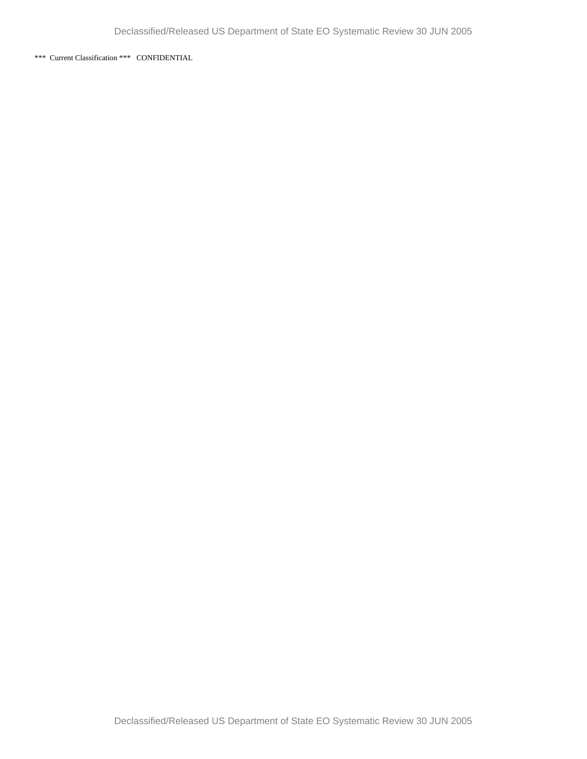\*\*\* Current Classification \*\*\* CONFIDENTIAL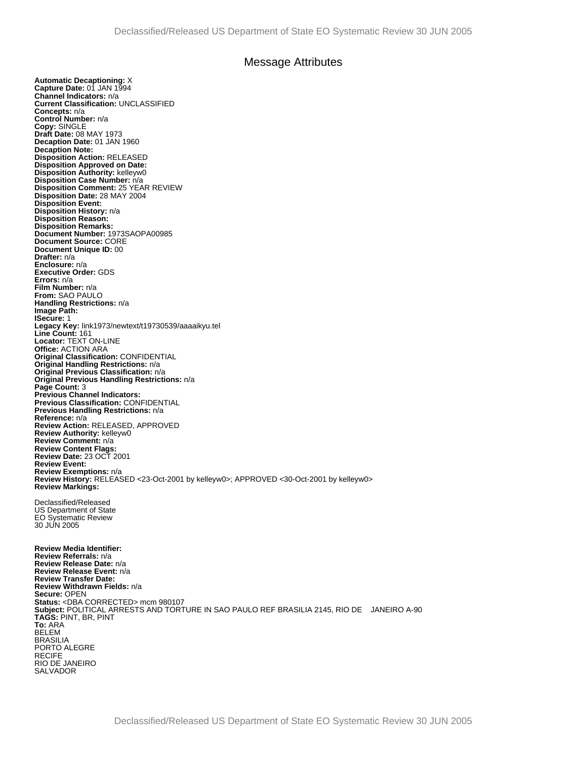## Message Attributes

**Automatic Decaptioning:** X **Capture Date:** 01 JAN 1994 **Channel Indicators:** n/a **Current Classification:** UNCLASSIFIED **Concepts:** n/a **Control Number:** n/a **Copy:** SINGLE **Draft Date:** 08 MAY 1973 **Decaption Date:** 01 JAN 1960 **Decaption Note: Disposition Action:** RELEASED **Disposition Approved on Date: Disposition Authority:** kelleyw0 **Disposition Case Number:** n/a **Disposition Comment:** 25 YEAR REVIEW **Disposition Date:** 28 MAY 2004 **Disposition Event: Disposition History:** n/a **Disposition Reason: Disposition Remarks: Document Number:** 1973SAOPA00985 **Document Source:** CORE **Document Unique ID:** 00 **Drafter:** n/a **Enclosure:** n/a **Executive Order:** GDS **Errors:** n/a **Film Number:** n/a **From:** SAO PAULO **Handling Restrictions:** n/a **Image Path: ISecure:** 1 **Legacy Key:** link1973/newtext/t19730539/aaaaikyu.tel **Line Count:** 161 **Locator:** TEXT ON-LINE **Office:** ACTION ARA **Original Classification:** CONFIDENTIAL **Original Handling Restrictions:** n/a **Original Previous Classification:** n/a **Original Previous Handling Restrictions:** n/a **Page Count:** 3 **Previous Channel Indicators: Previous Classification:** CONFIDENTIAL **Previous Handling Restrictions:** n/a **Reference:** n/a **Review Action:** RELEASED, APPROVED **Review Authority:** kelleyw0 **Review Comment:** n/a **Review Content Flags: Review Date:** 23 OCT 2001 **Review Event: Review Exemptions:** n/a **Review History:** RELEASED <23-Oct-2001 by kelleyw0>; APPROVED <30-Oct-2001 by kelleyw0> **Review Markings:**  Declassified/Released US Department of State EO Systematic Review 30 JUN 2005 **Review Media Identifier: Review Referrals:** n/a **Review Release Date:** n/a **Review Release Event:** n/a **Review Transfer Date: Review Withdrawn Fields:** n/a **Secure:** OPEN **Status:** <DBA CORRECTED> mcm 980107 **Subject:** POLITICAL ARRESTS AND TORTURE IN SAO PAULO REF BRASILIA 2145, RIO DE JANEIRO A-90 **TAGS:** PINT, BR, PINT **To:** ARA BELEM BRASILIA PORTO ALEGRE RECIFE RIO DE JANEIRO SALVADOR